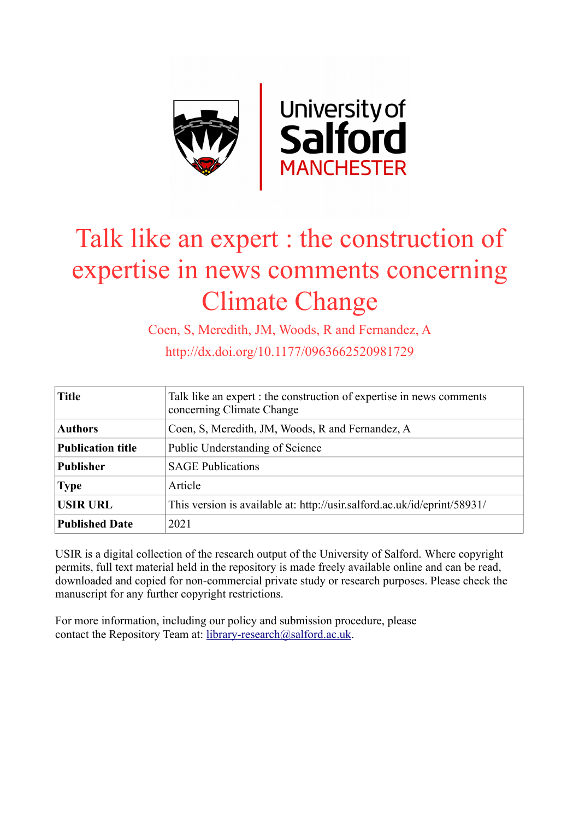

# Talk like an expert : the construction of expertise in news comments concerning Climate Change

Coen, S, Meredith, JM, Woods, R and Fernandez, A

http://dx.doi.org/10.1177/0963662520981729

| <b>Title</b>             | Talk like an expert : the construction of expertise in news comments<br>concerning Climate Change |
|--------------------------|---------------------------------------------------------------------------------------------------|
| <b>Authors</b>           | Coen, S, Meredith, JM, Woods, R and Fernandez, A                                                  |
| <b>Publication title</b> | Public Understanding of Science                                                                   |
| <b>Publisher</b>         | <b>SAGE Publications</b>                                                                          |
| <b>Type</b>              | Article                                                                                           |
| <b>USIR URL</b>          | This version is available at: http://usir.salford.ac.uk/id/eprint/58931/                          |
| <b>Published Date</b>    | 2021                                                                                              |

USIR is a digital collection of the research output of the University of Salford. Where copyright permits, full text material held in the repository is made freely available online and can be read, downloaded and copied for non-commercial private study or research purposes. Please check the manuscript for any further copyright restrictions.

For more information, including our policy and submission procedure, please contact the Repository Team at: [library-research@salford.ac.uk.](mailto:library-research@salford.ac.uk)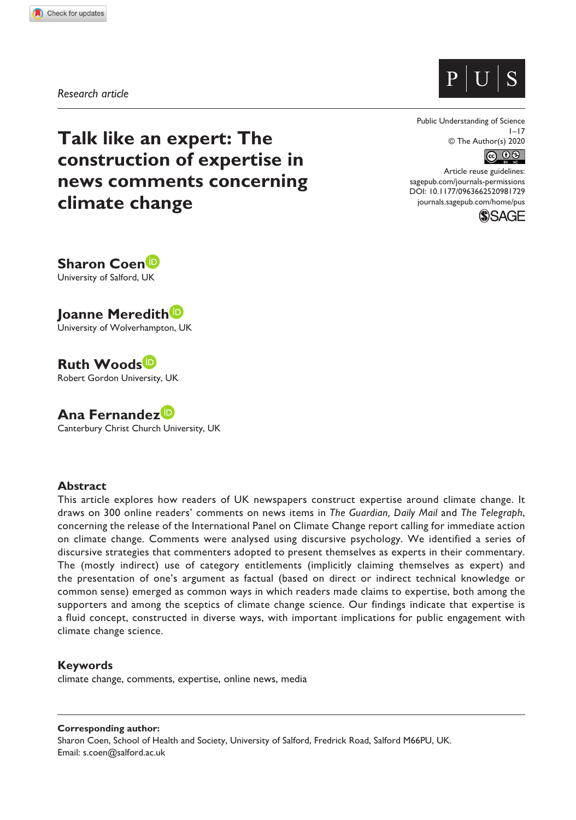



*Research article*

**Talk like an expert: The construction of expertise in news comments concerning climate change**

Public Understanding of Science  $1 - 17$ © The Author(s) 2020



DOI: 10.1177/0963662520981729 Article reuse guidelines: [sagepub.com/journals-permissions](https://uk.sagepub.com/en-gb/journals-permissions) [journals.sagepub.com/home/pus](https://journals.sagepub.com/home/pus)



**Sharon Coen** University of Salford, UK

**Joanne Meredith** University of Wolverhampton, UK

**Ruth Woods** Robert Gordon University, UK

**Ana Fernandez** Canterbury Christ Church University, UK

#### **Abstract**

This article explores how readers of UK newspapers construct expertise around climate change. It draws on 300 online readers' comments on news items in *The Guardian, Daily Mail* and *The Telegraph*, concerning the release of the International Panel on Climate Change report calling for immediate action on climate change. Comments were analysed using discursive psychology. We identified a series of discursive strategies that commenters adopted to present themselves as experts in their commentary. The (mostly indirect) use of category entitlements (implicitly claiming themselves as expert) and the presentation of one's argument as factual (based on direct or indirect technical knowledge or common sense) emerged as common ways in which readers made claims to expertise, both among the supporters and among the sceptics of climate change science. Our findings indicate that expertise is a fluid concept, constructed in diverse ways, with important implications for public engagement with climate change science.

## **Keywords**

climate change, comments, expertise, online news, media

#### **Corresponding author:**

Sharon Coen, School of Health and Society, University of Salford, Fredrick Road, Salford M66PU, UK. Email: [s.coen@salford.ac.uk](mailto:s.coen@salford.ac.uk)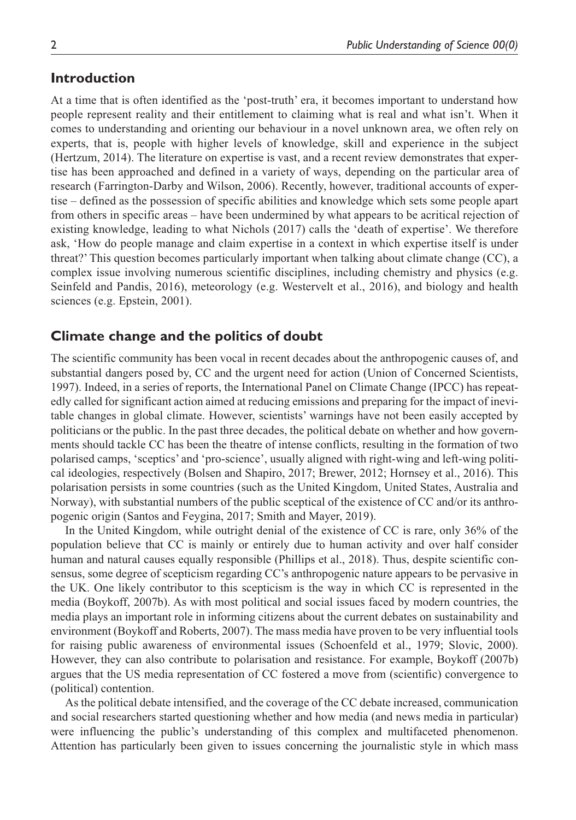# **Introduction**

At a time that is often identified as the 'post-truth' era, it becomes important to understand how people represent reality and their entitlement to claiming what is real and what isn't. When it comes to understanding and orienting our behaviour in a novel unknown area, we often rely on experts, that is, people with higher levels of knowledge, skill and experience in the subject (Hertzum, 2014). The literature on expertise is vast, and a recent review demonstrates that expertise has been approached and defined in a variety of ways, depending on the particular area of research (Farrington-Darby and Wilson, 2006). Recently, however, traditional accounts of expertise – defined as the possession of specific abilities and knowledge which sets some people apart from others in specific areas – have been undermined by what appears to be acritical rejection of existing knowledge, leading to what Nichols (2017) calls the 'death of expertise'. We therefore ask, 'How do people manage and claim expertise in a context in which expertise itself is under threat?' This question becomes particularly important when talking about climate change (CC), a complex issue involving numerous scientific disciplines, including chemistry and physics (e.g. Seinfeld and Pandis, 2016), meteorology (e.g. Westervelt et al., 2016), and biology and health sciences (e.g. Epstein, 2001).

# **Climate change and the politics of doubt**

The scientific community has been vocal in recent decades about the anthropogenic causes of, and substantial dangers posed by, CC and the urgent need for action (Union of Concerned Scientists, 1997). Indeed, in a series of reports, the International Panel on Climate Change (IPCC) has repeatedly called for significant action aimed at reducing emissions and preparing for the impact of inevitable changes in global climate. However, scientists' warnings have not been easily accepted by politicians or the public. In the past three decades, the political debate on whether and how governments should tackle CC has been the theatre of intense conflicts, resulting in the formation of two polarised camps, 'sceptics' and 'pro-science', usually aligned with right-wing and left-wing political ideologies, respectively (Bolsen and Shapiro, 2017; Brewer, 2012; Hornsey et al., 2016). This polarisation persists in some countries (such as the United Kingdom, United States, Australia and Norway), with substantial numbers of the public sceptical of the existence of CC and/or its anthropogenic origin (Santos and Feygina, 2017; Smith and Mayer, 2019).

In the United Kingdom, while outright denial of the existence of CC is rare, only 36% of the population believe that CC is mainly or entirely due to human activity and over half consider human and natural causes equally responsible (Phillips et al., 2018). Thus, despite scientific consensus, some degree of scepticism regarding CC's anthropogenic nature appears to be pervasive in the UK. One likely contributor to this scepticism is the way in which CC is represented in the media (Boykoff, 2007b). As with most political and social issues faced by modern countries, the media plays an important role in informing citizens about the current debates on sustainability and environment (Boykoff and Roberts, 2007). The mass media have proven to be very influential tools for raising public awareness of environmental issues (Schoenfeld et al., 1979; Slovic, 2000). However, they can also contribute to polarisation and resistance. For example, Boykoff (2007b) argues that the US media representation of CC fostered a move from (scientific) convergence to (political) contention.

As the political debate intensified, and the coverage of the CC debate increased, communication and social researchers started questioning whether and how media (and news media in particular) were influencing the public's understanding of this complex and multifaceted phenomenon. Attention has particularly been given to issues concerning the journalistic style in which mass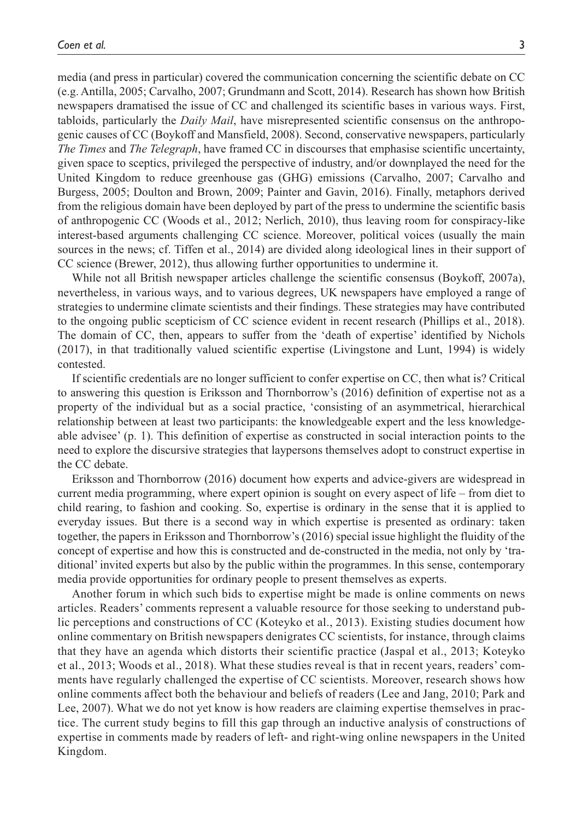media (and press in particular) covered the communication concerning the scientific debate on CC (e.g. Antilla, 2005; Carvalho, 2007; Grundmann and Scott, 2014). Research has shown how British newspapers dramatised the issue of CC and challenged its scientific bases in various ways. First, tabloids, particularly the *Daily Mail*, have misrepresented scientific consensus on the anthropogenic causes of CC (Boykoff and Mansfield, 2008). Second, conservative newspapers, particularly *The Times* and *The Telegraph*, have framed CC in discourses that emphasise scientific uncertainty, given space to sceptics, privileged the perspective of industry, and/or downplayed the need for the United Kingdom to reduce greenhouse gas (GHG) emissions (Carvalho, 2007; Carvalho and Burgess, 2005; Doulton and Brown, 2009; Painter and Gavin, 2016). Finally, metaphors derived from the religious domain have been deployed by part of the press to undermine the scientific basis of anthropogenic CC (Woods et al., 2012; Nerlich, 2010), thus leaving room for conspiracy-like interest-based arguments challenging CC science. Moreover, political voices (usually the main sources in the news; cf. Tiffen et al., 2014) are divided along ideological lines in their support of CC science (Brewer, 2012), thus allowing further opportunities to undermine it.

While not all British newspaper articles challenge the scientific consensus (Boykoff, 2007a), nevertheless, in various ways, and to various degrees, UK newspapers have employed a range of strategies to undermine climate scientists and their findings. These strategies may have contributed to the ongoing public scepticism of CC science evident in recent research (Phillips et al., 2018). The domain of CC, then, appears to suffer from the 'death of expertise' identified by Nichols (2017), in that traditionally valued scientific expertise (Livingstone and Lunt, 1994) is widely contested.

If scientific credentials are no longer sufficient to confer expertise on CC, then what is? Critical to answering this question is Eriksson and Thornborrow's (2016) definition of expertise not as a property of the individual but as a social practice, 'consisting of an asymmetrical, hierarchical relationship between at least two participants: the knowledgeable expert and the less knowledgeable advisee' (p. 1). This definition of expertise as constructed in social interaction points to the need to explore the discursive strategies that laypersons themselves adopt to construct expertise in the CC debate.

Eriksson and Thornborrow (2016) document how experts and advice-givers are widespread in current media programming, where expert opinion is sought on every aspect of life – from diet to child rearing, to fashion and cooking. So, expertise is ordinary in the sense that it is applied to everyday issues. But there is a second way in which expertise is presented as ordinary: taken together, the papers in Eriksson and Thornborrow's (2016) special issue highlight the fluidity of the concept of expertise and how this is constructed and de-constructed in the media, not only by 'traditional' invited experts but also by the public within the programmes. In this sense, contemporary media provide opportunities for ordinary people to present themselves as experts.

Another forum in which such bids to expertise might be made is online comments on news articles. Readers' comments represent a valuable resource for those seeking to understand public perceptions and constructions of CC (Koteyko et al., 2013). Existing studies document how online commentary on British newspapers denigrates CC scientists, for instance, through claims that they have an agenda which distorts their scientific practice (Jaspal et al., 2013; Koteyko et al., 2013; Woods et al., 2018). What these studies reveal is that in recent years, readers' comments have regularly challenged the expertise of CC scientists. Moreover, research shows how online comments affect both the behaviour and beliefs of readers (Lee and Jang, 2010; Park and Lee, 2007). What we do not yet know is how readers are claiming expertise themselves in practice. The current study begins to fill this gap through an inductive analysis of constructions of expertise in comments made by readers of left- and right-wing online newspapers in the United Kingdom.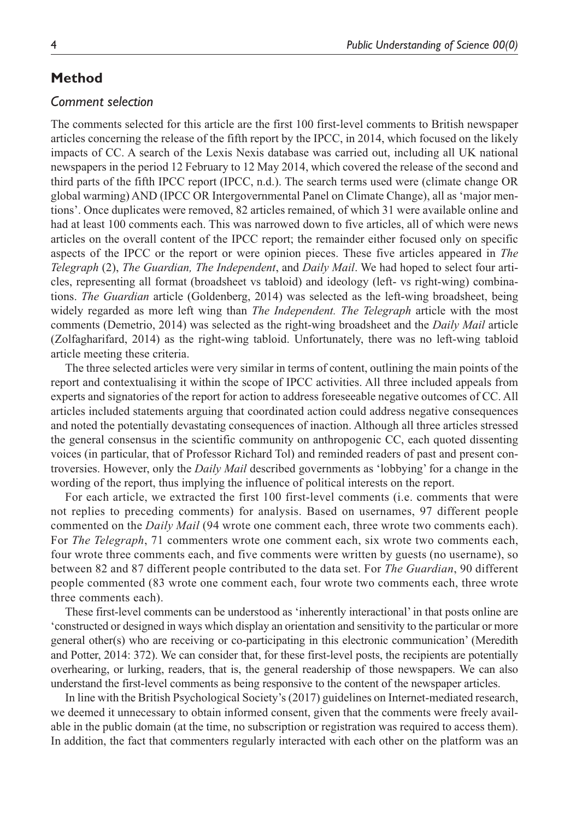The comments selected for this article are the first 100 first-level comments to British newspaper articles concerning the release of the fifth report by the IPCC, in 2014, which focused on the likely impacts of CC. A search of the Lexis Nexis database was carried out, including all UK national newspapers in the period 12 February to 12 May 2014, which covered the release of the second and third parts of the fifth IPCC report (IPCC, n.d.). The search terms used were (climate change OR global warming) AND (IPCC OR Intergovernmental Panel on Climate Change), all as 'major mentions'. Once duplicates were removed, 82 articles remained, of which 31 were available online and had at least 100 comments each. This was narrowed down to five articles, all of which were news articles on the overall content of the IPCC report; the remainder either focused only on specific aspects of the IPCC or the report or were opinion pieces. These five articles appeared in *The Telegraph* (2), *The Guardian, The Independent*, and *Daily Mail*. We had hoped to select four articles, representing all format (broadsheet vs tabloid) and ideology (left- vs right-wing) combinations. *The Guardian* article (Goldenberg, 2014) was selected as the left-wing broadsheet, being widely regarded as more left wing than *The Independent. The Telegraph* article with the most comments (Demetrio, 2014) was selected as the right-wing broadsheet and the *Daily Mail* article (Zolfagharifard, 2014) as the right-wing tabloid. Unfortunately, there was no left-wing tabloid article meeting these criteria.

The three selected articles were very similar in terms of content, outlining the main points of the report and contextualising it within the scope of IPCC activities. All three included appeals from experts and signatories of the report for action to address foreseeable negative outcomes of CC. All articles included statements arguing that coordinated action could address negative consequences and noted the potentially devastating consequences of inaction. Although all three articles stressed the general consensus in the scientific community on anthropogenic CC, each quoted dissenting voices (in particular, that of Professor Richard Tol) and reminded readers of past and present controversies. However, only the *Daily Mail* described governments as 'lobbying' for a change in the wording of the report, thus implying the influence of political interests on the report.

For each article, we extracted the first 100 first-level comments (i.e. comments that were not replies to preceding comments) for analysis. Based on usernames, 97 different people commented on the *Daily Mail* (94 wrote one comment each, three wrote two comments each). For *The Telegraph*, 71 commenters wrote one comment each, six wrote two comments each, four wrote three comments each, and five comments were written by guests (no username), so between 82 and 87 different people contributed to the data set. For *The Guardian*, 90 different people commented (83 wrote one comment each, four wrote two comments each, three wrote three comments each).

These first-level comments can be understood as 'inherently interactional' in that posts online are 'constructed or designed in ways which display an orientation and sensitivity to the particular or more general other(s) who are receiving or co-participating in this electronic communication' (Meredith and Potter, 2014: 372). We can consider that, for these first-level posts, the recipients are potentially overhearing, or lurking, readers, that is, the general readership of those newspapers. We can also understand the first-level comments as being responsive to the content of the newspaper articles.

In line with the British Psychological Society's (2017) guidelines on Internet-mediated research, we deemed it unnecessary to obtain informed consent, given that the comments were freely available in the public domain (at the time, no subscription or registration was required to access them). In addition, the fact that commenters regularly interacted with each other on the platform was an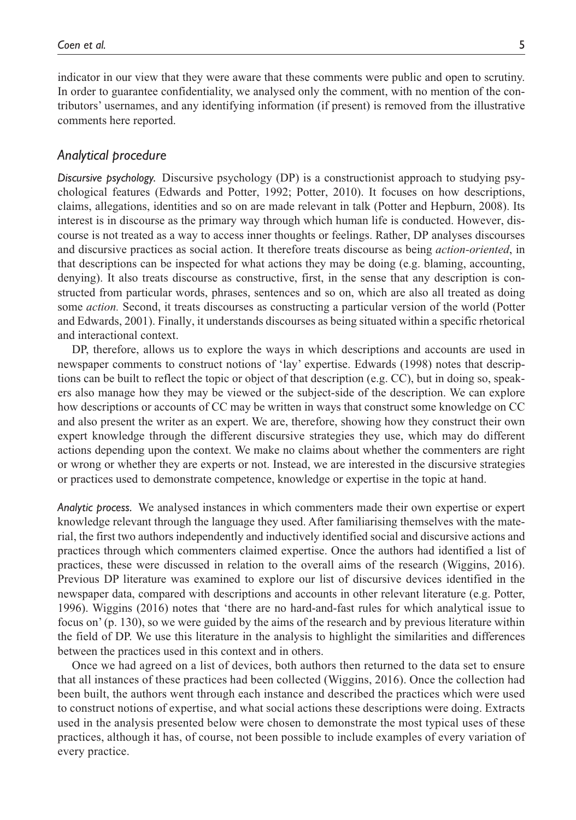indicator in our view that they were aware that these comments were public and open to scrutiny. In order to guarantee confidentiality, we analysed only the comment, with no mention of the contributors' usernames, and any identifying information (if present) is removed from the illustrative comments here reported.

## *Analytical procedure*

*Discursive psychology.* Discursive psychology (DP) is a constructionist approach to studying psychological features (Edwards and Potter, 1992; Potter, 2010). It focuses on how descriptions, claims, allegations, identities and so on are made relevant in talk (Potter and Hepburn, 2008). Its interest is in discourse as the primary way through which human life is conducted. However, discourse is not treated as a way to access inner thoughts or feelings. Rather, DP analyses discourses and discursive practices as social action. It therefore treats discourse as being *action-oriented*, in that descriptions can be inspected for what actions they may be doing (e.g. blaming, accounting, denying). It also treats discourse as constructive, first, in the sense that any description is constructed from particular words, phrases, sentences and so on, which are also all treated as doing some *action.* Second, it treats discourses as constructing a particular version of the world (Potter and Edwards, 2001). Finally, it understands discourses as being situated within a specific rhetorical and interactional context.

DP, therefore, allows us to explore the ways in which descriptions and accounts are used in newspaper comments to construct notions of 'lay' expertise. Edwards (1998) notes that descriptions can be built to reflect the topic or object of that description (e.g. CC), but in doing so, speakers also manage how they may be viewed or the subject-side of the description. We can explore how descriptions or accounts of CC may be written in ways that construct some knowledge on CC and also present the writer as an expert. We are, therefore, showing how they construct their own expert knowledge through the different discursive strategies they use, which may do different actions depending upon the context. We make no claims about whether the commenters are right or wrong or whether they are experts or not. Instead, we are interested in the discursive strategies or practices used to demonstrate competence, knowledge or expertise in the topic at hand.

*Analytic process.* We analysed instances in which commenters made their own expertise or expert knowledge relevant through the language they used. After familiarising themselves with the material, the first two authors independently and inductively identified social and discursive actions and practices through which commenters claimed expertise. Once the authors had identified a list of practices, these were discussed in relation to the overall aims of the research (Wiggins, 2016). Previous DP literature was examined to explore our list of discursive devices identified in the newspaper data, compared with descriptions and accounts in other relevant literature (e.g. Potter, 1996). Wiggins (2016) notes that 'there are no hard-and-fast rules for which analytical issue to focus on' (p. 130), so we were guided by the aims of the research and by previous literature within the field of DP. We use this literature in the analysis to highlight the similarities and differences between the practices used in this context and in others.

Once we had agreed on a list of devices, both authors then returned to the data set to ensure that all instances of these practices had been collected (Wiggins, 2016). Once the collection had been built, the authors went through each instance and described the practices which were used to construct notions of expertise, and what social actions these descriptions were doing. Extracts used in the analysis presented below were chosen to demonstrate the most typical uses of these practices, although it has, of course, not been possible to include examples of every variation of every practice.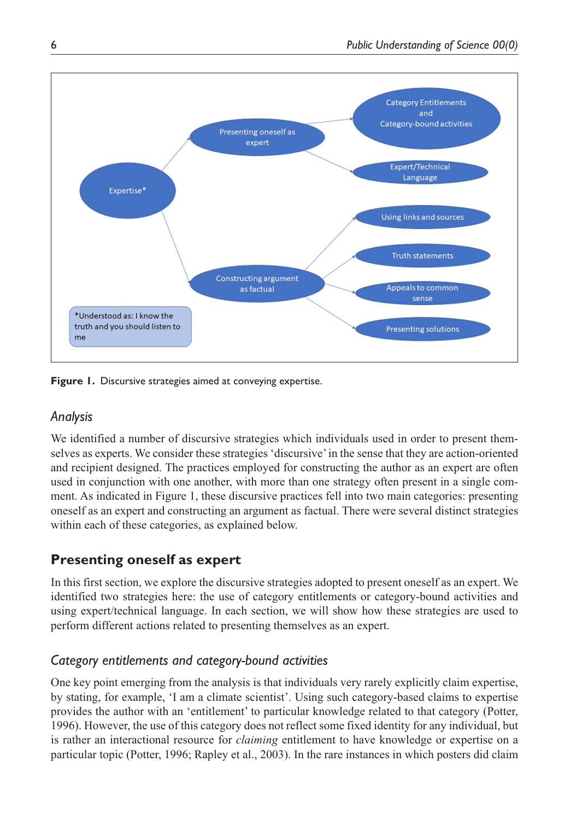

**Figure 1.** Discursive strategies aimed at conveying expertise.

# *Analysis*

We identified a number of discursive strategies which individuals used in order to present themselves as experts. We consider these strategies 'discursive' in the sense that they are action-oriented and recipient designed. The practices employed for constructing the author as an expert are often used in conjunction with one another, with more than one strategy often present in a single comment. As indicated in Figure 1, these discursive practices fell into two main categories: presenting oneself as an expert and constructing an argument as factual. There were several distinct strategies within each of these categories, as explained below.

# **Presenting oneself as expert**

In this first section, we explore the discursive strategies adopted to present oneself as an expert. We identified two strategies here: the use of category entitlements or category-bound activities and using expert/technical language. In each section, we will show how these strategies are used to perform different actions related to presenting themselves as an expert.

# *Category entitlements and category-bound activities*

One key point emerging from the analysis is that individuals very rarely explicitly claim expertise, by stating, for example, 'I am a climate scientist'. Using such category-based claims to expertise provides the author with an 'entitlement' to particular knowledge related to that category (Potter, 1996). However, the use of this category does not reflect some fixed identity for any individual, but is rather an interactional resource for *claiming* entitlement to have knowledge or expertise on a particular topic (Potter, 1996; Rapley et al., 2003). In the rare instances in which posters did claim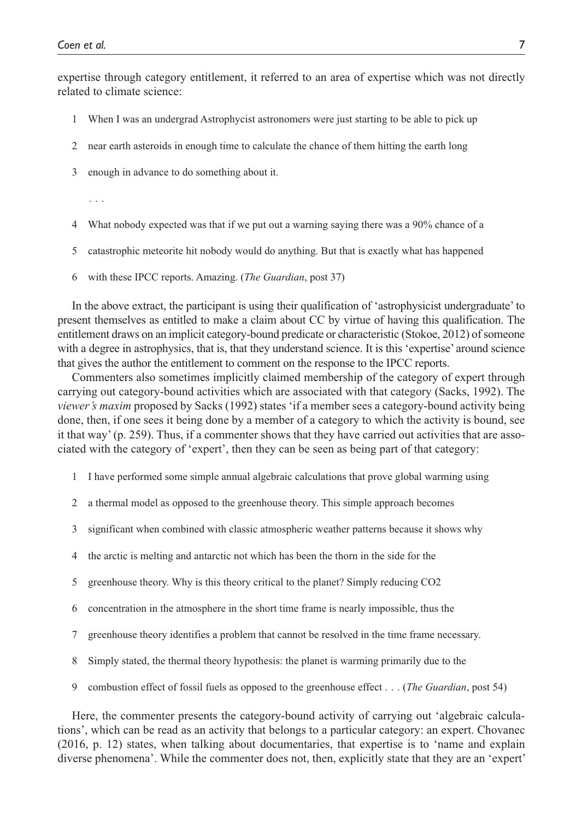expertise through category entitlement, it referred to an area of expertise which was not directly related to climate science:

- 1 When I was an undergrad Astrophycist astronomers were just starting to be able to pick up
- 2 near earth asteroids in enough time to calculate the chance of them hitting the earth long
- 3 enough in advance to do something about it.

. . .

- 4 What nobody expected was that if we put out a warning saying there was a 90% chance of a
- 5 catastrophic meteorite hit nobody would do anything. But that is exactly what has happened
- 6 with these IPCC reports. Amazing. (*The Guardian*, post 37)

In the above extract, the participant is using their qualification of 'astrophysicist undergraduate' to present themselves as entitled to make a claim about CC by virtue of having this qualification. The entitlement draws on an implicit category-bound predicate or characteristic (Stokoe, 2012) of someone with a degree in astrophysics, that is, that they understand science. It is this 'expertise' around science that gives the author the entitlement to comment on the response to the IPCC reports.

Commenters also sometimes implicitly claimed membership of the category of expert through carrying out category-bound activities which are associated with that category (Sacks, 1992). The *viewer's maxim* proposed by Sacks (1992) states 'if a member sees a category-bound activity being done, then, if one sees it being done by a member of a category to which the activity is bound, see it that way' (p. 259). Thus, if a commenter shows that they have carried out activities that are associated with the category of 'expert', then they can be seen as being part of that category:

- 1 I have performed some simple annual algebraic calculations that prove global warming using
- 2 a thermal model as opposed to the greenhouse theory. This simple approach becomes
- 3 significant when combined with classic atmospheric weather patterns because it shows why
- 4 the arctic is melting and antarctic not which has been the thorn in the side for the
- 5 greenhouse theory. Why is this theory critical to the planet? Simply reducing CO2
- 6 concentration in the atmosphere in the short time frame is nearly impossible, thus the
- 7 greenhouse theory identifies a problem that cannot be resolved in the time frame necessary.
- 8 Simply stated, the thermal theory hypothesis: the planet is warming primarily due to the
- 9 combustion effect of fossil fuels as opposed to the greenhouse effect . . . (*The Guardian*, post 54)

Here, the commenter presents the category-bound activity of carrying out 'algebraic calculations', which can be read as an activity that belongs to a particular category: an expert. Chovanec (2016, p. 12) states, when talking about documentaries, that expertise is to 'name and explain diverse phenomena'. While the commenter does not, then, explicitly state that they are an 'expert'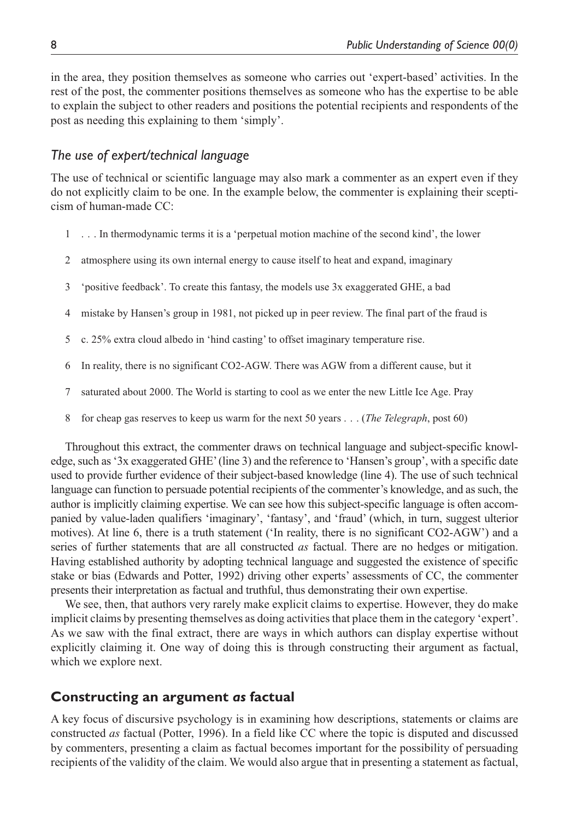in the area, they position themselves as someone who carries out 'expert-based' activities. In the rest of the post, the commenter positions themselves as someone who has the expertise to be able to explain the subject to other readers and positions the potential recipients and respondents of the post as needing this explaining to them 'simply'.

# *The use of expert/technical language*

The use of technical or scientific language may also mark a commenter as an expert even if they do not explicitly claim to be one. In the example below, the commenter is explaining their scepticism of human-made CC:

- 1 . . . In thermodynamic terms it is a 'perpetual motion machine of the second kind', the lower
- 2 atmosphere using its own internal energy to cause itself to heat and expand, imaginary
- 3 'positive feedback'. To create this fantasy, the models use 3x exaggerated GHE, a bad
- 4 mistake by Hansen's group in 1981, not picked up in peer review. The final part of the fraud is
- 5 c. 25% extra cloud albedo in 'hind casting' to offset imaginary temperature rise.
- 6 In reality, there is no significant CO2-AGW. There was AGW from a different cause, but it
- 7 saturated about 2000. The World is starting to cool as we enter the new Little Ice Age. Pray
- 8 for cheap gas reserves to keep us warm for the next 50 years . . . (*The Telegraph*, post 60)

Throughout this extract, the commenter draws on technical language and subject-specific knowledge, such as '3x exaggerated GHE' (line 3) and the reference to 'Hansen's group', with a specific date used to provide further evidence of their subject-based knowledge (line 4). The use of such technical language can function to persuade potential recipients of the commenter's knowledge, and as such, the author is implicitly claiming expertise. We can see how this subject-specific language is often accompanied by value-laden qualifiers 'imaginary', 'fantasy', and 'fraud' (which, in turn, suggest ulterior motives). At line 6, there is a truth statement ('In reality, there is no significant CO2-AGW') and a series of further statements that are all constructed *as* factual. There are no hedges or mitigation. Having established authority by adopting technical language and suggested the existence of specific stake or bias (Edwards and Potter, 1992) driving other experts' assessments of CC, the commenter presents their interpretation as factual and truthful, thus demonstrating their own expertise.

We see, then, that authors very rarely make explicit claims to expertise. However, they do make implicit claims by presenting themselves as doing activities that place them in the category 'expert'. As we saw with the final extract, there are ways in which authors can display expertise without explicitly claiming it. One way of doing this is through constructing their argument as factual, which we explore next.

# **Constructing an argument** *as* **factual**

A key focus of discursive psychology is in examining how descriptions, statements or claims are constructed *as* factual (Potter, 1996). In a field like CC where the topic is disputed and discussed by commenters, presenting a claim as factual becomes important for the possibility of persuading recipients of the validity of the claim. We would also argue that in presenting a statement as factual,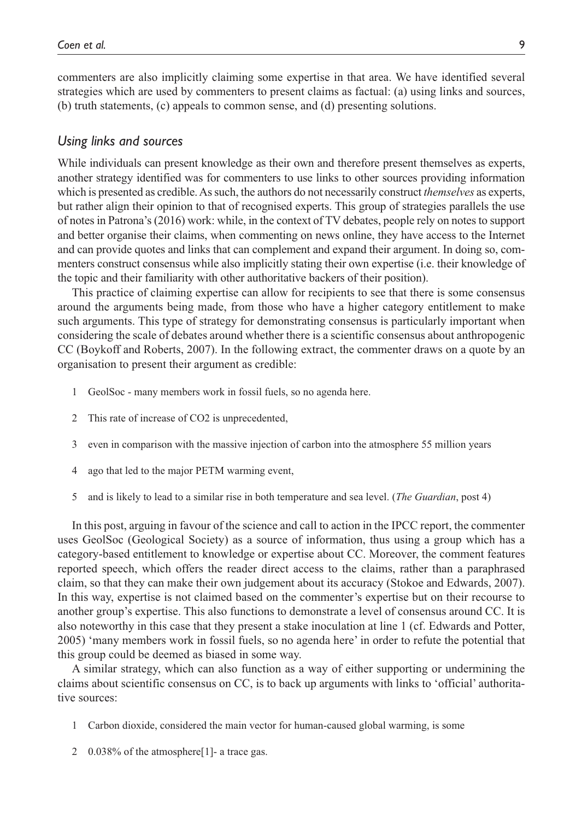commenters are also implicitly claiming some expertise in that area. We have identified several strategies which are used by commenters to present claims as factual: (a) using links and sources, (b) truth statements, (c) appeals to common sense, and (d) presenting solutions.

# *Using links and sources*

While individuals can present knowledge as their own and therefore present themselves as experts, another strategy identified was for commenters to use links to other sources providing information which is presented as credible. As such, the authors do not necessarily construct *themselves* as experts, but rather align their opinion to that of recognised experts. This group of strategies parallels the use of notes in Patrona's (2016) work: while, in the context of TV debates, people rely on notes to support and better organise their claims, when commenting on news online, they have access to the Internet and can provide quotes and links that can complement and expand their argument. In doing so, commenters construct consensus while also implicitly stating their own expertise (i.e. their knowledge of the topic and their familiarity with other authoritative backers of their position).

This practice of claiming expertise can allow for recipients to see that there is some consensus around the arguments being made, from those who have a higher category entitlement to make such arguments. This type of strategy for demonstrating consensus is particularly important when considering the scale of debates around whether there is a scientific consensus about anthropogenic CC (Boykoff and Roberts, 2007). In the following extract, the commenter draws on a quote by an organisation to present their argument as credible:

- 1 GeolSoc many members work in fossil fuels, so no agenda here.
- 2 This rate of increase of CO2 is unprecedented,
- 3 even in comparison with the massive injection of carbon into the atmosphere 55 million years
- 4 ago that led to the major PETM warming event,
- 5 and is likely to lead to a similar rise in both temperature and sea level. (*The Guardian*, post 4)

In this post, arguing in favour of the science and call to action in the IPCC report, the commenter uses GeolSoc (Geological Society) as a source of information, thus using a group which has a category-based entitlement to knowledge or expertise about CC. Moreover, the comment features reported speech, which offers the reader direct access to the claims, rather than a paraphrased claim, so that they can make their own judgement about its accuracy (Stokoe and Edwards, 2007). In this way, expertise is not claimed based on the commenter's expertise but on their recourse to another group's expertise. This also functions to demonstrate a level of consensus around CC. It is also noteworthy in this case that they present a stake inoculation at line 1 (cf. Edwards and Potter, 2005) 'many members work in fossil fuels, so no agenda here' in order to refute the potential that this group could be deemed as biased in some way.

A similar strategy, which can also function as a way of either supporting or undermining the claims about scientific consensus on CC, is to back up arguments with links to 'official' authoritative sources:

- 1 Carbon dioxide, considered the main vector for human-caused global warming, is some
- 2 0.038% of the atmosphere[1]- a trace gas.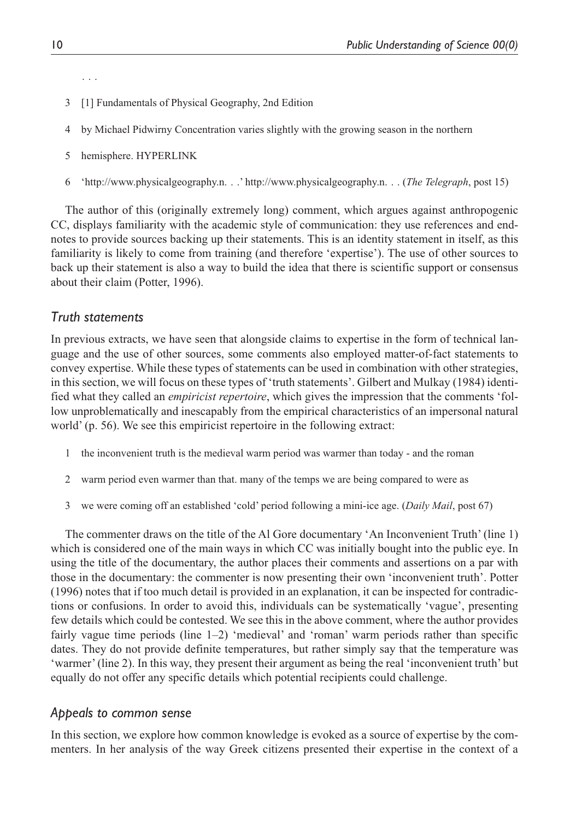. . .

- 3 [1] Fundamentals of Physical Geography, 2nd Edition
- 4 by Michael Pidwirny Concentration varies slightly with the growing season in the northern
- 5 hemisphere. HYPERLINK
- 6 ['http://www.physicalgeography.n.](http://www.physicalgeography.n) . .' [http://www.physicalgeography.n.](http://www.physicalgeography.n) . . (*The Telegraph*, post 15)

The author of this (originally extremely long) comment, which argues against anthropogenic CC, displays familiarity with the academic style of communication: they use references and endnotes to provide sources backing up their statements. This is an identity statement in itself, as this familiarity is likely to come from training (and therefore 'expertise'). The use of other sources to back up their statement is also a way to build the idea that there is scientific support or consensus about their claim (Potter, 1996).

## *Truth statements*

In previous extracts, we have seen that alongside claims to expertise in the form of technical language and the use of other sources, some comments also employed matter-of-fact statements to convey expertise. While these types of statements can be used in combination with other strategies, in this section, we will focus on these types of 'truth statements'. Gilbert and Mulkay (1984) identified what they called an *empiricist repertoire*, which gives the impression that the comments 'follow unproblematically and inescapably from the empirical characteristics of an impersonal natural world' (p. 56). We see this empiricist repertoire in the following extract:

- 1 the inconvenient truth is the medieval warm period was warmer than today and the roman
- 2 warm period even warmer than that. many of the temps we are being compared to were as
- 3 we were coming off an established 'cold' period following a mini-ice age. (*Daily Mail*, post 67)

The commenter draws on the title of the Al Gore documentary 'An Inconvenient Truth' (line 1) which is considered one of the main ways in which CC was initially bought into the public eye. In using the title of the documentary, the author places their comments and assertions on a par with those in the documentary: the commenter is now presenting their own 'inconvenient truth'. Potter (1996) notes that if too much detail is provided in an explanation, it can be inspected for contradictions or confusions. In order to avoid this, individuals can be systematically 'vague', presenting few details which could be contested. We see this in the above comment, where the author provides fairly vague time periods (line 1–2) 'medieval' and 'roman' warm periods rather than specific dates. They do not provide definite temperatures, but rather simply say that the temperature was 'warmer' (line 2). In this way, they present their argument as being the real 'inconvenient truth' but equally do not offer any specific details which potential recipients could challenge.

## *Appeals to common sense*

In this section, we explore how common knowledge is evoked as a source of expertise by the commenters. In her analysis of the way Greek citizens presented their expertise in the context of a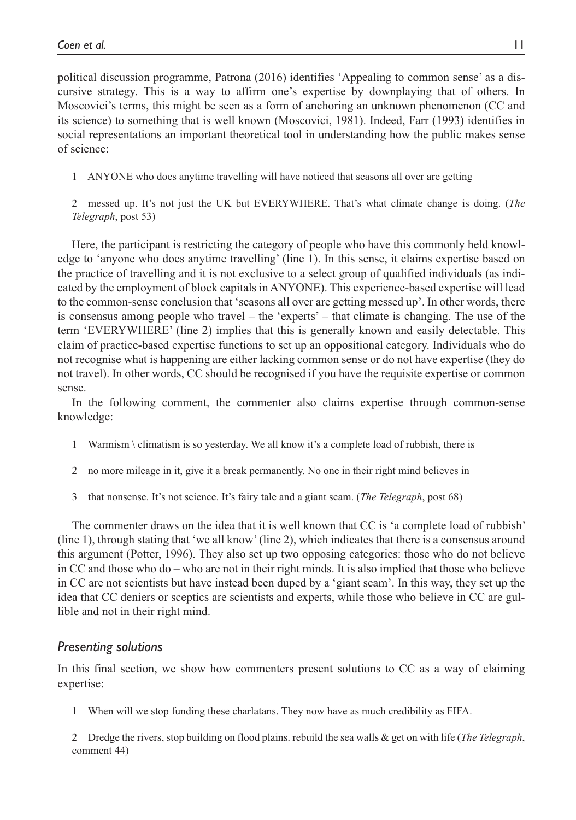political discussion programme, Patrona (2016) identifies 'Appealing to common sense' as a discursive strategy. This is a way to affirm one's expertise by downplaying that of others. In Moscovici's terms, this might be seen as a form of anchoring an unknown phenomenon (CC and its science) to something that is well known (Moscovici, 1981). Indeed, Farr (1993) identifies in social representations an important theoretical tool in understanding how the public makes sense of science:

1 ANYONE who does anytime travelling will have noticed that seasons all over are getting

2 messed up. It's not just the UK but EVERYWHERE. That's what climate change is doing. (*The Telegraph*, post 53)

Here, the participant is restricting the category of people who have this commonly held knowledge to 'anyone who does anytime travelling' (line 1). In this sense, it claims expertise based on the practice of travelling and it is not exclusive to a select group of qualified individuals (as indicated by the employment of block capitals in ANYONE). This experience-based expertise will lead to the common-sense conclusion that 'seasons all over are getting messed up'. In other words, there is consensus among people who travel – the 'experts' – that climate is changing. The use of the term 'EVERYWHERE' (line 2) implies that this is generally known and easily detectable. This claim of practice-based expertise functions to set up an oppositional category. Individuals who do not recognise what is happening are either lacking common sense or do not have expertise (they do not travel). In other words, CC should be recognised if you have the requisite expertise or common sense.

In the following comment, the commenter also claims expertise through common-sense knowledge:

- 1 Warmism \ climatism is so yesterday. We all know it's a complete load of rubbish, there is
- 2 no more mileage in it, give it a break permanently. No one in their right mind believes in
- 3 that nonsense. It's not science. It's fairy tale and a giant scam. (*The Telegraph*, post 68)

The commenter draws on the idea that it is well known that CC is 'a complete load of rubbish' (line 1), through stating that 'we all know' (line 2), which indicates that there is a consensus around this argument (Potter, 1996). They also set up two opposing categories: those who do not believe in CC and those who do – who are not in their right minds. It is also implied that those who believe in CC are not scientists but have instead been duped by a 'giant scam'. In this way, they set up the idea that CC deniers or sceptics are scientists and experts, while those who believe in CC are gullible and not in their right mind.

## *Presenting solutions*

In this final section, we show how commenters present solutions to CC as a way of claiming expertise:

1 When will we stop funding these charlatans. They now have as much credibility as FIFA.

2 Dredge the rivers, stop building on flood plains. rebuild the sea walls & get on with life (*The Telegraph*, comment 44)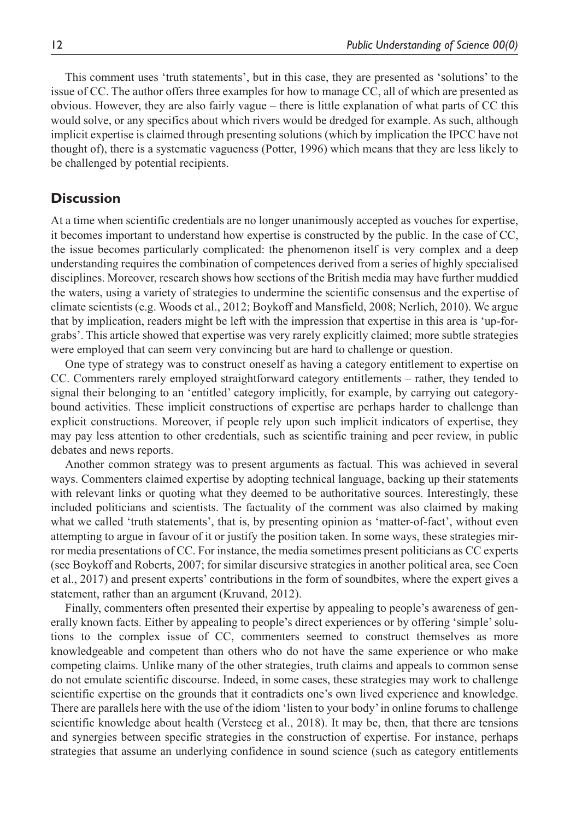This comment uses 'truth statements', but in this case, they are presented as 'solutions' to the issue of CC. The author offers three examples for how to manage CC, all of which are presented as obvious. However, they are also fairly vague – there is little explanation of what parts of CC this would solve, or any specifics about which rivers would be dredged for example. As such, although implicit expertise is claimed through presenting solutions (which by implication the IPCC have not thought of), there is a systematic vagueness (Potter, 1996) which means that they are less likely to be challenged by potential recipients.

# **Discussion**

At a time when scientific credentials are no longer unanimously accepted as vouches for expertise, it becomes important to understand how expertise is constructed by the public. In the case of CC, the issue becomes particularly complicated: the phenomenon itself is very complex and a deep understanding requires the combination of competences derived from a series of highly specialised disciplines. Moreover, research shows how sections of the British media may have further muddied the waters, using a variety of strategies to undermine the scientific consensus and the expertise of climate scientists (e.g. Woods et al., 2012; Boykoff and Mansfield, 2008; Nerlich, 2010). We argue that by implication, readers might be left with the impression that expertise in this area is 'up-forgrabs'. This article showed that expertise was very rarely explicitly claimed; more subtle strategies were employed that can seem very convincing but are hard to challenge or question.

One type of strategy was to construct oneself as having a category entitlement to expertise on CC. Commenters rarely employed straightforward category entitlements – rather, they tended to signal their belonging to an 'entitled' category implicitly, for example, by carrying out categorybound activities. These implicit constructions of expertise are perhaps harder to challenge than explicit constructions. Moreover, if people rely upon such implicit indicators of expertise, they may pay less attention to other credentials, such as scientific training and peer review, in public debates and news reports.

Another common strategy was to present arguments as factual. This was achieved in several ways. Commenters claimed expertise by adopting technical language, backing up their statements with relevant links or quoting what they deemed to be authoritative sources. Interestingly, these included politicians and scientists. The factuality of the comment was also claimed by making what we called 'truth statements', that is, by presenting opinion as 'matter-of-fact', without even attempting to argue in favour of it or justify the position taken. In some ways, these strategies mirror media presentations of CC. For instance, the media sometimes present politicians as CC experts (see Boykoff and Roberts, 2007; for similar discursive strategies in another political area, see Coen et al., 2017) and present experts' contributions in the form of soundbites, where the expert gives a statement, rather than an argument (Kruvand, 2012).

Finally, commenters often presented their expertise by appealing to people's awareness of generally known facts. Either by appealing to people's direct experiences or by offering 'simple' solutions to the complex issue of CC, commenters seemed to construct themselves as more knowledgeable and competent than others who do not have the same experience or who make competing claims. Unlike many of the other strategies, truth claims and appeals to common sense do not emulate scientific discourse. Indeed, in some cases, these strategies may work to challenge scientific expertise on the grounds that it contradicts one's own lived experience and knowledge. There are parallels here with the use of the idiom 'listen to your body' in online forums to challenge scientific knowledge about health (Versteeg et al., 2018). It may be, then, that there are tensions and synergies between specific strategies in the construction of expertise. For instance, perhaps strategies that assume an underlying confidence in sound science (such as category entitlements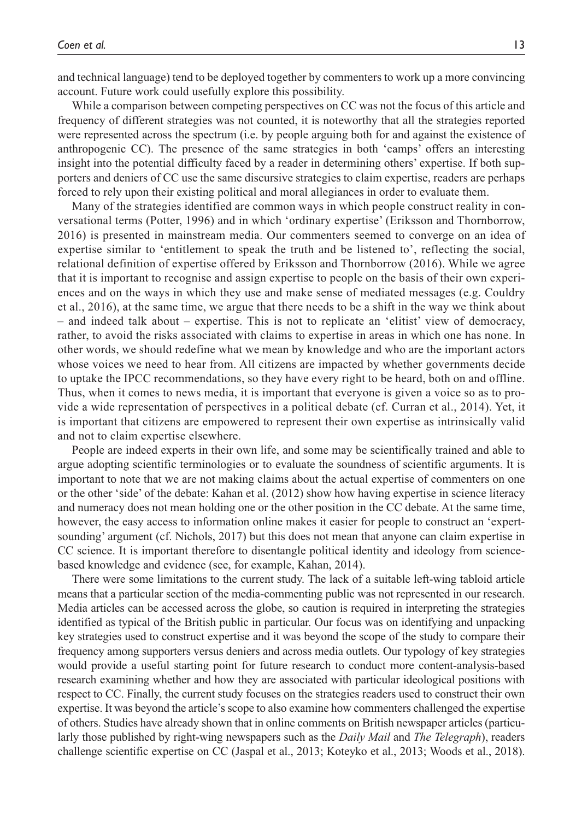and technical language) tend to be deployed together by commenters to work up a more convincing account. Future work could usefully explore this possibility.

While a comparison between competing perspectives on CC was not the focus of this article and frequency of different strategies was not counted, it is noteworthy that all the strategies reported were represented across the spectrum (i.e. by people arguing both for and against the existence of anthropogenic CC). The presence of the same strategies in both 'camps' offers an interesting insight into the potential difficulty faced by a reader in determining others' expertise. If both supporters and deniers of CC use the same discursive strategies to claim expertise, readers are perhaps forced to rely upon their existing political and moral allegiances in order to evaluate them.

Many of the strategies identified are common ways in which people construct reality in conversational terms (Potter, 1996) and in which 'ordinary expertise' (Eriksson and Thornborrow, 2016) is presented in mainstream media. Our commenters seemed to converge on an idea of expertise similar to 'entitlement to speak the truth and be listened to', reflecting the social, relational definition of expertise offered by Eriksson and Thornborrow (2016). While we agree that it is important to recognise and assign expertise to people on the basis of their own experiences and on the ways in which they use and make sense of mediated messages (e.g. Couldry et al., 2016), at the same time, we argue that there needs to be a shift in the way we think about – and indeed talk about – expertise. This is not to replicate an 'elitist' view of democracy, rather, to avoid the risks associated with claims to expertise in areas in which one has none. In other words, we should redefine what we mean by knowledge and who are the important actors whose voices we need to hear from. All citizens are impacted by whether governments decide to uptake the IPCC recommendations, so they have every right to be heard, both on and offline. Thus, when it comes to news media, it is important that everyone is given a voice so as to provide a wide representation of perspectives in a political debate (cf. Curran et al., 2014). Yet, it is important that citizens are empowered to represent their own expertise as intrinsically valid and not to claim expertise elsewhere.

People are indeed experts in their own life, and some may be scientifically trained and able to argue adopting scientific terminologies or to evaluate the soundness of scientific arguments. It is important to note that we are not making claims about the actual expertise of commenters on one or the other 'side' of the debate: Kahan et al. (2012) show how having expertise in science literacy and numeracy does not mean holding one or the other position in the CC debate. At the same time, however, the easy access to information online makes it easier for people to construct an 'expertsounding' argument (cf. Nichols, 2017) but this does not mean that anyone can claim expertise in CC science. It is important therefore to disentangle political identity and ideology from sciencebased knowledge and evidence (see, for example, Kahan, 2014).

There were some limitations to the current study. The lack of a suitable left-wing tabloid article means that a particular section of the media-commenting public was not represented in our research. Media articles can be accessed across the globe, so caution is required in interpreting the strategies identified as typical of the British public in particular. Our focus was on identifying and unpacking key strategies used to construct expertise and it was beyond the scope of the study to compare their frequency among supporters versus deniers and across media outlets. Our typology of key strategies would provide a useful starting point for future research to conduct more content-analysis-based research examining whether and how they are associated with particular ideological positions with respect to CC. Finally, the current study focuses on the strategies readers used to construct their own expertise. It was beyond the article's scope to also examine how commenters challenged the expertise of others. Studies have already shown that in online comments on British newspaper articles (particularly those published by right-wing newspapers such as the *Daily Mail* and *The Telegraph*), readers challenge scientific expertise on CC (Jaspal et al., 2013; Koteyko et al., 2013; Woods et al., 2018).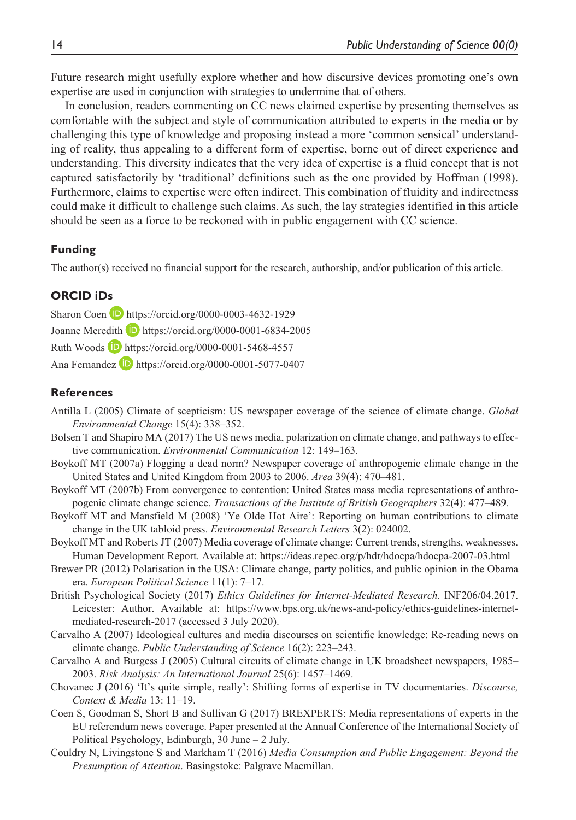Future research might usefully explore whether and how discursive devices promoting one's own expertise are used in conjunction with strategies to undermine that of others.

In conclusion, readers commenting on CC news claimed expertise by presenting themselves as comfortable with the subject and style of communication attributed to experts in the media or by challenging this type of knowledge and proposing instead a more 'common sensical' understanding of reality, thus appealing to a different form of expertise, borne out of direct experience and understanding. This diversity indicates that the very idea of expertise is a fluid concept that is not captured satisfactorily by 'traditional' definitions such as the one provided by Hoffman (1998). Furthermore, claims to expertise were often indirect. This combination of fluidity and indirectness could make it difficult to challenge such claims. As such, the lay strategies identified in this article should be seen as a force to be reckoned with in public engagement with CC science.

## **Funding**

The author(s) received no financial support for the research, authorship, and/or publication of this article.

## **ORCID iDs**

Sharon Coen **D** <https://orcid.org/0000-0003-4632-1929> Joanne Meredith **D** <https://orcid.org/0000-0001-6834-2005> Ruth Woods **D** <https://orcid.org/0000-0001-5468-4557> Ana Fernandez D <https://orcid.org/0000-0001-5077-0407>

#### **References**

- Antilla L (2005) Climate of scepticism: US newspaper coverage of the science of climate change. *Global Environmental Change* 15(4): 338–352.
- Bolsen T and Shapiro MA (2017) The US news media, polarization on climate change, and pathways to effective communication. *Environmental Communication* 12: 149–163.
- Boykoff MT (2007a) Flogging a dead norm? Newspaper coverage of anthropogenic climate change in the United States and United Kingdom from 2003 to 2006. *Area* 39(4): 470–481.
- Boykoff MT (2007b) From convergence to contention: United States mass media representations of anthropogenic climate change science. *Transactions of the Institute of British Geographers* 32(4): 477–489.
- Boykoff MT and Mansfield M (2008) 'Ye Olde Hot Aire': Reporting on human contributions to climate change in the UK tabloid press. *Environmental Research Letters* 3(2): 024002.
- Boykoff MT and Roberts JT (2007) Media coverage of climate change: Current trends, strengths, weaknesses. Human Development Report. Available at:<https://ideas.repec.org/p/hdr/hdocpa/hdocpa-2007-03.html>
- Brewer PR (2012) Polarisation in the USA: Climate change, party politics, and public opinion in the Obama era. *European Political Science* 11(1): 7–17.
- British Psychological Society (2017) *Ethics Guidelines for Internet-Mediated Research*. INF206/04.2017. Leicester: Author. Available at: [https://www.bps.org.uk/news-and-policy/ethics-guidelines-internet](https://www.bps.org.uk/news-and-policy/ethics-guidelines-internet-mediated-research-2017)[mediated-research-2017](https://www.bps.org.uk/news-and-policy/ethics-guidelines-internet-mediated-research-2017) (accessed 3 July 2020).
- Carvalho A (2007) Ideological cultures and media discourses on scientific knowledge: Re-reading news on climate change. *Public Understanding of Science* 16(2): 223–243.
- Carvalho A and Burgess J (2005) Cultural circuits of climate change in UK broadsheet newspapers, 1985– 2003. *Risk Analysis: An International Journal* 25(6): 1457–1469.
- Chovanec J (2016) 'It's quite simple, really': Shifting forms of expertise in TV documentaries. *Discourse, Context & Media* 13: 11–19.
- Coen S, Goodman S, Short B and Sullivan G (2017) BREXPERTS: Media representations of experts in the EU referendum news coverage. Paper presented at the Annual Conference of the International Society of Political Psychology, Edinburgh, 30 June – 2 July.
- Couldry N, Livingstone S and Markham T (2016) *Media Consumption and Public Engagement: Beyond the Presumption of Attention*. Basingstoke: Palgrave Macmillan.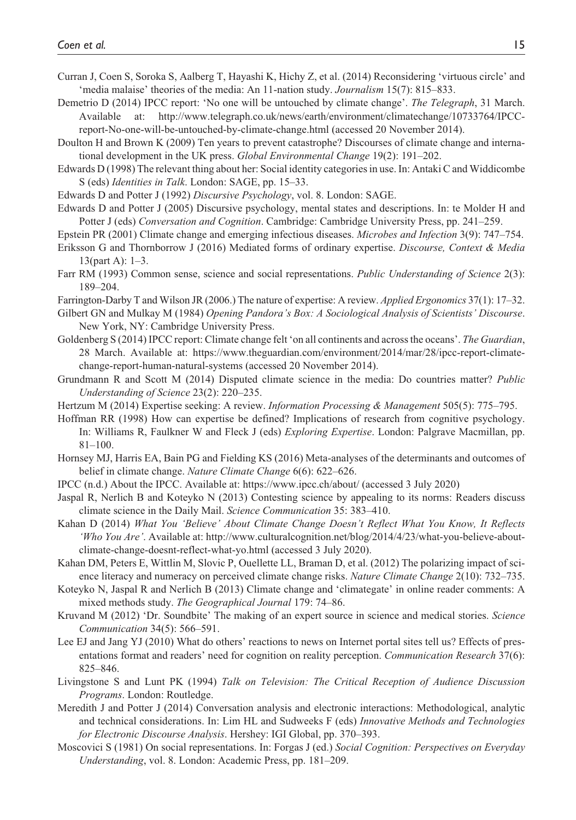- Curran J, Coen S, Soroka S, Aalberg T, Hayashi K, Hichy Z, et al. (2014) Reconsidering 'virtuous circle' and 'media malaise' theories of the media: An 11-nation study. *Journalism* 15(7): 815–833.
- Demetrio D (2014) IPCC report: 'No one will be untouched by climate change'. *The Telegraph*, 31 March. Available at: [http://www.telegraph.co.uk/news/earth/environment/climatechange/10733764/IPCC](http://www.telegraph.co.uk/news/earth/environment/climatechange/10733764/IPCC-report-No-one-will-be-untouched-by-climate-change.html)[report-No-one-will-be-untouched-by-climate-change.html](http://www.telegraph.co.uk/news/earth/environment/climatechange/10733764/IPCC-report-No-one-will-be-untouched-by-climate-change.html) (accessed 20 November 2014).
- Doulton H and Brown K (2009) Ten years to prevent catastrophe? Discourses of climate change and international development in the UK press. *Global Environmental Change* 19(2): 191–202.
- Edwards D (1998) The relevant thing about her: Social identity categories in use. In: Antaki C and Widdicombe S (eds) *Identities in Talk*. London: SAGE, pp. 15–33.
- Edwards D and Potter J (1992) *Discursive Psychology*, vol. 8. London: SAGE.
- Edwards D and Potter J (2005) Discursive psychology, mental states and descriptions. In: te Molder H and Potter J (eds) *Conversation and Cognition*. Cambridge: Cambridge University Press, pp. 241–259.
- Epstein PR (2001) Climate change and emerging infectious diseases. *Microbes and Infection* 3(9): 747–754.
- Eriksson G and Thornborrow J (2016) Mediated forms of ordinary expertise. *Discourse, Context & Media* 13(part A): 1–3.
- Farr RM (1993) Common sense, science and social representations. *Public Understanding of Science* 2(3): 189–204.
- Farrington-Darby T and Wilson JR (2006.) The nature of expertise: A review. *Applied Ergonomics* 37(1): 17–32.
- Gilbert GN and Mulkay M (1984) *Opening Pandora's Box: A Sociological Analysis of Scientists' Discourse*. New York, NY: Cambridge University Press.
- Goldenberg S (2014) IPCC report: Climate change felt 'on all continents and across the oceans'. *The Guardian*, 28 March. Available at: [https://www.theguardian.com/environment/2014/mar/28/ipcc-report-climate](https://www.theguardian.com/environment/2014/mar/28/ipcc-report-climate-change-report-human-natural-systems)[change-report-human-natural-systems](https://www.theguardian.com/environment/2014/mar/28/ipcc-report-climate-change-report-human-natural-systems) (accessed 20 November 2014).
- Grundmann R and Scott M (2014) Disputed climate science in the media: Do countries matter? *Public Understanding of Science* 23(2): 220–235.
- Hertzum M (2014) Expertise seeking: A review. *Information Processing & Management* 505(5): 775–795.
- Hoffman RR (1998) How can expertise be defined? Implications of research from cognitive psychology. In: Williams R, Faulkner W and Fleck J (eds) *Exploring Expertise*. London: Palgrave Macmillan, pp. 81–100.
- Hornsey MJ, Harris EA, Bain PG and Fielding KS (2016) Meta-analyses of the determinants and outcomes of belief in climate change. *Nature Climate Change* 6(6): 622–626.
- IPCC (n.d.) About the IPCC. Available at:<https://www.ipcc.ch/about/>(accessed 3 July 2020)
- Jaspal R, Nerlich B and Koteyko N (2013) Contesting science by appealing to its norms: Readers discuss climate science in the Daily Mail. *Science Communication* 35: 383–410.
- Kahan D (2014) *What You 'Believe' About Climate Change Doesn't Reflect What You Know, It Reflects 'Who You Are'*. Available at: [http://www.culturalcognition.net/blog/2014/4/23/what-you-believe-about](http://www.culturalcognition.net/blog/2014/4/23/what-you-believe-about-climate-change-doesnt-reflect-what-yo.html)[climate-change-doesnt-reflect-what-yo.html](http://www.culturalcognition.net/blog/2014/4/23/what-you-believe-about-climate-change-doesnt-reflect-what-yo.html) (accessed 3 July 2020).
- Kahan DM, Peters E, Wittlin M, Slovic P, Ouellette LL, Braman D, et al. (2012) The polarizing impact of science literacy and numeracy on perceived climate change risks. *Nature Climate Change* 2(10): 732–735.
- Koteyko N, Jaspal R and Nerlich B (2013) Climate change and 'climategate' in online reader comments: A mixed methods study. *The Geographical Journal* 179: 74–86.
- Kruvand M (2012) 'Dr. Soundbite' The making of an expert source in science and medical stories. *Science Communication* 34(5): 566–591.
- Lee EJ and Jang YJ (2010) What do others' reactions to news on Internet portal sites tell us? Effects of presentations format and readers' need for cognition on reality perception. *Communication Research* 37(6): 825–846.
- Livingstone S and Lunt PK (1994) *Talk on Television: The Critical Reception of Audience Discussion Programs*. London: Routledge.
- Meredith J and Potter J (2014) Conversation analysis and electronic interactions: Methodological, analytic and technical considerations. In: Lim HL and Sudweeks F (eds) *Innovative Methods and Technologies for Electronic Discourse Analysis*. Hershey: IGI Global, pp. 370–393.
- Moscovici S (1981) On social representations. In: Forgas J (ed.) *Social Cognition: Perspectives on Everyday Understanding*, vol. 8. London: Academic Press, pp. 181–209.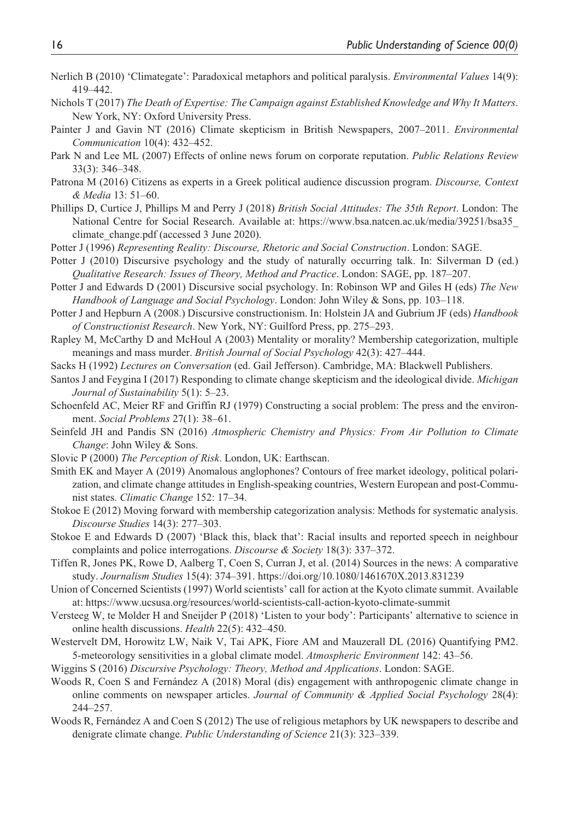- Nerlich B (2010) 'Climategate': Paradoxical metaphors and political paralysis. *Environmental Values* 14(9): 419–442.
- Nichols T (2017) *The Death of Expertise: The Campaign against Established Knowledge and Why It Matters*. New York, NY: Oxford University Press.
- Painter J and Gavin NT (2016) Climate skepticism in British Newspapers, 2007–2011. *Environmental Communication* 10(4): 432–452.
- Park N and Lee ML (2007) Effects of online news forum on corporate reputation. *Public Relations Review* 33(3): 346–348.
- Patrona M (2016) Citizens as experts in a Greek political audience discussion program. *Discourse, Context & Media* 13: 51–60.
- Phillips D, Curtice J, Phillips M and Perry J (2018) *British Social Attitudes: The 35th Report*. London: The National Centre for Social Research. Available at: [https://www.bsa.natcen.ac.uk/media/39251/bsa35\\_](https://www.bsa.natcen.ac.uk/media/39251/bsa35_climate_change.pdf) climate change.pdf (accessed 3 June 2020).
- Potter J (1996) *Representing Reality: Discourse, Rhetoric and Social Construction*. London: SAGE.
- Potter J (2010) Discursive psychology and the study of naturally occurring talk. In: Silverman D (ed.) *Qualitative Research: Issues of Theory, Method and Practice*. London: SAGE, pp. 187–207.
- Potter J and Edwards D (2001) Discursive social psychology. In: Robinson WP and Giles H (eds) *The New Handbook of Language and Social Psychology*. London: John Wiley & Sons, pp. 103–118.
- Potter J and Hepburn A (2008.) Discursive constructionism. In: Holstein JA and Gubrium JF (eds) *Handbook of Constructionist Research*. New York, NY: Guilford Press, pp. 275–293.
- Rapley M, McCarthy D and McHoul A (2003) Mentality or morality? Membership categorization, multiple meanings and mass murder. *British Journal of Social Psychology* 42(3): 427–444.
- Sacks H (1992) *Lectures on Conversation* (ed. Gail Jefferson). Cambridge, MA: Blackwell Publishers.
- Santos J and Feygina I (2017) Responding to climate change skepticism and the ideological divide. *Michigan Journal of Sustainability* 5(1): 5–23.
- Schoenfeld AC, Meier RF and Griffin RJ (1979) Constructing a social problem: The press and the environment. *Social Problems* 27(1): 38–61.
- Seinfeld JH and Pandis SN (2016) *Atmospheric Chemistry and Physics: From Air Pollution to Climate Change*: John Wiley & Sons.
- Slovic P (2000) *The Perception of Risk*. London, UK: Earthscan.
- Smith EK and Mayer A (2019) Anomalous anglophones? Contours of free market ideology, political polarization, and climate change attitudes in English-speaking countries, Western European and post-Communist states. *Climatic Change* 152: 17–34.
- Stokoe E (2012) Moving forward with membership categorization analysis: Methods for systematic analysis. *Discourse Studies* 14(3): 277–303.
- Stokoe E and Edwards D (2007) 'Black this, black that': Racial insults and reported speech in neighbour complaints and police interrogations. *Discourse & Society* 18(3): 337–372.
- Tiffen R, Jones PK, Rowe D, Aalberg T, Coen S, Curran J, et al. (2014) Sources in the news: A comparative study. *Journalism Studies* 15(4): 374–391. <https://doi.org/10.1080/1461670X.2013.831239>
- Union of Concerned Scientists (1997) World scientists' call for action at the Kyoto climate summit. Available at: <https://www.ucsusa.org/resources/world-scientists-call-action-kyoto-climate-summit>
- Versteeg W, te Molder H and Sneijder P (2018) 'Listen to your body': Participants' alternative to science in online health discussions. *Health* 22(5): 432–450.
- Westervelt DM, Horowitz LW, Naik V, Tai APK, Fiore AM and Mauzerall DL (2016) Quantifying PM2. 5-meteorology sensitivities in a global climate model. *Atmospheric Environment* 142: 43–56.
- Wiggins S (2016) *Discursive Psychology: Theory, Method and Applications*. London: SAGE.
- Woods R, Coen S and Fernández A (2018) Moral (dis) engagement with anthropogenic climate change in online comments on newspaper articles. *Journal of Community & Applied Social Psychology* 28(4): 244–257.
- Woods R, Fernández A and Coen S (2012) The use of religious metaphors by UK newspapers to describe and denigrate climate change. *Public Understanding of Science* 21(3): 323–339.